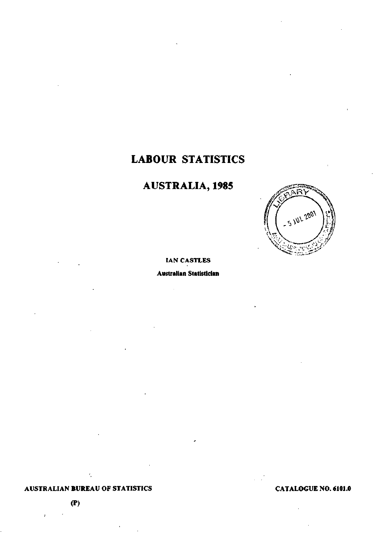# **LABOUR STATISTICS**

# **AUSTRALIA, 1985**



## **IAN CASTLES**

**Australian Statistician** 

## **AUSTRALIAN BUREAU OF STATISTICS**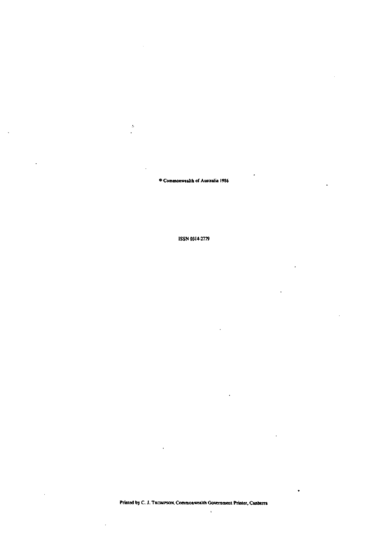**• Commonwealth of Australia 1986** 

 $\bar{L}$ 

**ISSN 0314-2779** 

 $\tilde{\mathbf{r}}$ 

٠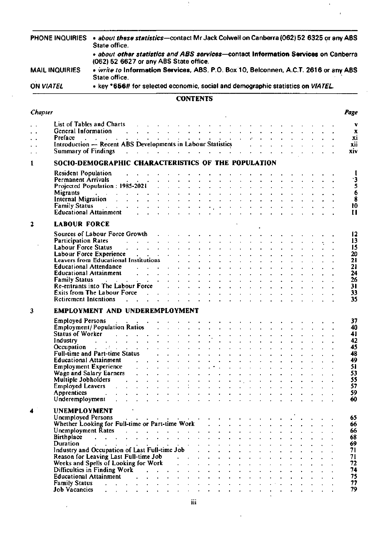| PHONE INQUIRIES<br><b>MAIL INQUIRIES</b> |                                                  | . about these statistics-contact Mr Jack Colwell on Canberra (062) 52 6325 or any ABS<br>State office.                                                                                                                                                                                                                                                                                                                                                               |                                                                                                                                                                                                                                                                                                                                                                                                                              |  |                                                                                                                                                                                                                                |                 |  |                                                                                  |  |                                                          |  |  |                    |  |  |  |  |                     |
|------------------------------------------|--------------------------------------------------|----------------------------------------------------------------------------------------------------------------------------------------------------------------------------------------------------------------------------------------------------------------------------------------------------------------------------------------------------------------------------------------------------------------------------------------------------------------------|------------------------------------------------------------------------------------------------------------------------------------------------------------------------------------------------------------------------------------------------------------------------------------------------------------------------------------------------------------------------------------------------------------------------------|--|--------------------------------------------------------------------------------------------------------------------------------------------------------------------------------------------------------------------------------|-----------------|--|----------------------------------------------------------------------------------|--|----------------------------------------------------------|--|--|--------------------|--|--|--|--|---------------------|
|                                          |                                                  | · about other statistics and ABS services-contact Information Services on Canberra<br>(062) 52 6627 or any ABS State office.                                                                                                                                                                                                                                                                                                                                         |                                                                                                                                                                                                                                                                                                                                                                                                                              |  |                                                                                                                                                                                                                                |                 |  |                                                                                  |  |                                                          |  |  |                    |  |  |  |  |                     |
|                                          |                                                  | State office.                                                                                                                                                                                                                                                                                                                                                                                                                                                        | . write to Information Services, ABS, P.O. Box 10, Belconnen, A.C.T. 2616 or any ABS                                                                                                                                                                                                                                                                                                                                         |  |                                                                                                                                                                                                                                |                 |  |                                                                                  |  |                                                          |  |  |                    |  |  |  |  |                     |
|                                          | ON VIATEL                                        | • key *656# for selected economic, social and demographic statistics on V/ATEL.                                                                                                                                                                                                                                                                                                                                                                                      |                                                                                                                                                                                                                                                                                                                                                                                                                              |  |                                                                                                                                                                                                                                |                 |  |                                                                                  |  |                                                          |  |  |                    |  |  |  |  |                     |
|                                          |                                                  |                                                                                                                                                                                                                                                                                                                                                                                                                                                                      |                                                                                                                                                                                                                                                                                                                                                                                                                              |  |                                                                                                                                                                                                                                | <b>CONTENTS</b> |  |                                                                                  |  |                                                          |  |  |                    |  |  |  |  |                     |
| Chapter                                  |                                                  |                                                                                                                                                                                                                                                                                                                                                                                                                                                                      |                                                                                                                                                                                                                                                                                                                                                                                                                              |  |                                                                                                                                                                                                                                |                 |  |                                                                                  |  |                                                          |  |  |                    |  |  |  |  | Page                |
|                                          |                                                  | List of Tables and Charts                                                                                                                                                                                                                                                                                                                                                                                                                                            |                                                                                                                                                                                                                                                                                                                                                                                                                              |  | and the company of the company of the company of the company of the company of the company of the company of the company of the company of the company of the company of the company of the company of the company of the comp |                 |  |                                                                                  |  |                                                          |  |  |                    |  |  |  |  | ν                   |
| $\ddotsc$<br>$\ddot{\phantom{0}}$        | General Information                              |                                                                                                                                                                                                                                                                                                                                                                                                                                                                      | $\mathbf{y} = \mathbf{y} + \mathbf{y} + \mathbf{y} + \mathbf{y} + \mathbf{y} + \mathbf{y} + \mathbf{y} + \mathbf{y} + \mathbf{y} + \mathbf{y} + \mathbf{y} + \mathbf{y} + \mathbf{y} + \mathbf{y} + \mathbf{y} + \mathbf{y} + \mathbf{y} + \mathbf{y} + \mathbf{y} + \mathbf{y} + \mathbf{y} + \mathbf{y} + \mathbf{y} + \mathbf{y} + \mathbf{y} + \mathbf{y} + \mathbf{y} + \mathbf{y} + \mathbf{y} + \mathbf{y} + \mathbf$ |  |                                                                                                                                                                                                                                |                 |  |                                                                                  |  |                                                          |  |  |                    |  |  |  |  | х<br>xi             |
| $\ddot{\phantom{1}}$                     |                                                  | Preface<br>Introduction — Recent ABS Developments in Labour Statistics                                                                                                                                                                                                                                                                                                                                                                                               |                                                                                                                                                                                                                                                                                                                                                                                                                              |  |                                                                                                                                                                                                                                |                 |  |                                                                                  |  |                                                          |  |  |                    |  |  |  |  | xii                 |
| $\ddot{\phantom{1}}$                     | <b>Summary of Findings</b>                       |                                                                                                                                                                                                                                                                                                                                                                                                                                                                      | المتواطن والمتعارف والمتأمر والمتابع المواطن والمتابع المتابع المتابع                                                                                                                                                                                                                                                                                                                                                        |  |                                                                                                                                                                                                                                |                 |  |                                                                                  |  |                                                          |  |  |                    |  |  |  |  | xiv                 |
| 1                                        |                                                  | SOCIO-DEMOGRAPHIC CHARACTERISTICS OF THE POPULATION                                                                                                                                                                                                                                                                                                                                                                                                                  |                                                                                                                                                                                                                                                                                                                                                                                                                              |  |                                                                                                                                                                                                                                |                 |  |                                                                                  |  |                                                          |  |  |                    |  |  |  |  |                     |
|                                          | <b>Resident Population</b><br>Permanent Arrivals |                                                                                                                                                                                                                                                                                                                                                                                                                                                                      | $\mathbf{r} = \mathbf{r} - \mathbf{r}$ , where $\mathbf{r} = \mathbf{r} - \mathbf{r}$                                                                                                                                                                                                                                                                                                                                        |  |                                                                                                                                                                                                                                |                 |  |                                                                                  |  |                                                          |  |  |                    |  |  |  |  |                     |
|                                          |                                                  | Projected Population: 1985-2021 (a) $\therefore$ $\therefore$ $\therefore$ $\therefore$ $\therefore$ $\therefore$ $\therefore$ $\therefore$ $\therefore$ $\therefore$ $\therefore$ $\therefore$ $\therefore$ $\therefore$ $\therefore$ $\therefore$ $\therefore$ $\therefore$ $\therefore$ $\therefore$ $\therefore$ $\therefore$ $\therefore$ $\therefore$ $\therefore$ $\therefore$ $\therefore$ $\therefore$ $\therefore$ $\therefore$ $\therefore$               | the contract of the contract of the contract of the contract of the contract of the contract of the contract of                                                                                                                                                                                                                                                                                                              |  |                                                                                                                                                                                                                                |                 |  |                                                                                  |  |                                                          |  |  |                    |  |  |  |  | ۰3<br>$\frac{5}{6}$ |
|                                          | <b>Migrants</b>                                  | المواطن والمتناطي والمتناطين والمتناطين والمتناطين والمتناطين والمتناطين والمتناطين والمتناطين والمتناطين                                                                                                                                                                                                                                                                                                                                                            |                                                                                                                                                                                                                                                                                                                                                                                                                              |  |                                                                                                                                                                                                                                |                 |  |                                                                                  |  |                                                          |  |  |                    |  |  |  |  |                     |
|                                          |                                                  | Internal Migration and a contract that is a contract of the contract of the contract of the contract of the contract of the contract of the contract of the contract of the contract of the contract of the contract of the co<br>Family Status And All Andrew Article And All Andrew Article And All Andrew Article And All Andrew Article And                                                                                                                      |                                                                                                                                                                                                                                                                                                                                                                                                                              |  |                                                                                                                                                                                                                                |                 |  |                                                                                  |  |                                                          |  |  |                    |  |  |  |  | 8<br>10             |
|                                          |                                                  | <b>Educational Attainment</b>                                                                                                                                                                                                                                                                                                                                                                                                                                        | المنابي والمواريق القارية القارية القارية القارية القارية والمنابين والمنابين والمنابين                                                                                                                                                                                                                                                                                                                                      |  |                                                                                                                                                                                                                                |                 |  |                                                                                  |  |                                                          |  |  |                    |  |  |  |  | $\mathbf{1}$        |
| 2                                        | <b>LABOUR FORCE</b>                              |                                                                                                                                                                                                                                                                                                                                                                                                                                                                      |                                                                                                                                                                                                                                                                                                                                                                                                                              |  |                                                                                                                                                                                                                                |                 |  |                                                                                  |  |                                                          |  |  |                    |  |  |  |  |                     |
|                                          |                                                  | Sources of Labour Force Growth Alberta Albert Albert Albert Albert Albert Albert Albert Albert Albert Albert A                                                                                                                                                                                                                                                                                                                                                       |                                                                                                                                                                                                                                                                                                                                                                                                                              |  |                                                                                                                                                                                                                                |                 |  |                                                                                  |  |                                                          |  |  |                    |  |  |  |  | 12                  |
|                                          |                                                  | Participation Rates and the contract of the contract of the contract of the contract of the contract of the contract of the contract of the contract of the contract of the contract of the contract of the contract of the co                                                                                                                                                                                                                                       |                                                                                                                                                                                                                                                                                                                                                                                                                              |  |                                                                                                                                                                                                                                |                 |  |                                                                                  |  |                                                          |  |  |                    |  |  |  |  | 13                  |
|                                          | Labour Force Status                              |                                                                                                                                                                                                                                                                                                                                                                                                                                                                      | المتواطن والمناطق والمناطق والمناطق والمتاط والمتناطق والمناطق والمناطق والمناطق                                                                                                                                                                                                                                                                                                                                             |  |                                                                                                                                                                                                                                |                 |  |                                                                                  |  |                                                          |  |  |                    |  |  |  |  | 15<br>20            |
|                                          |                                                  | Labour Force Experience<br>Leavers from Educational Institutions<br>experience and the contract of the contract of the contract of the contract of the contract of the contract of                                                                                                                                                                                                                                                                                   |                                                                                                                                                                                                                                                                                                                                                                                                                              |  |                                                                                                                                                                                                                                |                 |  |                                                                                  |  |                                                          |  |  |                    |  |  |  |  | 21                  |
|                                          |                                                  | <b>Educational Attendance</b><br>Educational Attainment and a subset of the state of the state of the state of the state of the state of the state of the state of the state of the state of the state of the state of the state of the state of the state of t                                                                                                                                                                                                      | and the contract of the contract of the contract of the contract of the contract of the contract of the contract of the contract of the contract of the contract of the contract of the contract of the contract of the contra                                                                                                                                                                                               |  |                                                                                                                                                                                                                                |                 |  |                                                                                  |  |                                                          |  |  |                    |  |  |  |  | 21<br>24            |
|                                          |                                                  | Family Status and a series of the contract of the status of the status of the status of the status of the status of the status of the status of the status of the status of the status of the status of the status of the stat                                                                                                                                                                                                                                       |                                                                                                                                                                                                                                                                                                                                                                                                                              |  |                                                                                                                                                                                                                                |                 |  |                                                                                  |  |                                                          |  |  |                    |  |  |  |  | 26                  |
|                                          |                                                  | Re-entrants into The Labour Force Acceleration Acceleration and Acceleration and Acceleration and Acceleration                                                                                                                                                                                                                                                                                                                                                       |                                                                                                                                                                                                                                                                                                                                                                                                                              |  |                                                                                                                                                                                                                                |                 |  |                                                                                  |  |                                                          |  |  |                    |  |  |  |  | 31<br>33            |
|                                          |                                                  | Retirement Intentions residence in the contract of the state of the contract of the contract of the contract of the contract of the contract of the contract of the contract of the contract of the contract of the contract o                                                                                                                                                                                                                                       |                                                                                                                                                                                                                                                                                                                                                                                                                              |  |                                                                                                                                                                                                                                |                 |  |                                                                                  |  |                                                          |  |  |                    |  |  |  |  | 35                  |
| 3                                        |                                                  | EMPLOYMENT AND UNDEREMPLOYMENT                                                                                                                                                                                                                                                                                                                                                                                                                                       |                                                                                                                                                                                                                                                                                                                                                                                                                              |  |                                                                                                                                                                                                                                |                 |  |                                                                                  |  |                                                          |  |  |                    |  |  |  |  |                     |
|                                          | <b>Employed Persons</b>                          |                                                                                                                                                                                                                                                                                                                                                                                                                                                                      | the control of the control of                                                                                                                                                                                                                                                                                                                                                                                                |  |                                                                                                                                                                                                                                |                 |  |                                                                                  |  |                                                          |  |  |                    |  |  |  |  | 37                  |
|                                          |                                                  | Employment/Population Ratios<br>Status of Worker Alberta Alberta Alberta Alberta Alberta Alberta Alberta Alberta Alberta Alberta Alberta Albert                                                                                                                                                                                                                                                                                                                      |                                                                                                                                                                                                                                                                                                                                                                                                                              |  |                                                                                                                                                                                                                                |                 |  |                                                                                  |  |                                                          |  |  |                    |  |  |  |  | 40<br>41            |
|                                          | Industry                                         | and a series of the company of the series of the company of the series of the series of the series of the series of the series of the series of the series of the series of the series of the series of the series of the seri                                                                                                                                                                                                                                       |                                                                                                                                                                                                                                                                                                                                                                                                                              |  |                                                                                                                                                                                                                                |                 |  |                                                                                  |  | $\sigma_{\rm L}$ , $\sigma_{\rm C}$ , $\sigma_{\rm C}$ , |  |  |                    |  |  |  |  | 42                  |
|                                          |                                                  | Occupation and the contract of the contract of the contract of the contract of the contract of the contract of the contract of the contract of the contract of the contract of the contract of the contract of the contract of                                                                                                                                                                                                                                       |                                                                                                                                                                                                                                                                                                                                                                                                                              |  |                                                                                                                                                                                                                                |                 |  |                                                                                  |  |                                                          |  |  |                    |  |  |  |  | 45                  |
|                                          |                                                  | Full-time and Part-time Status and all the status and the status of the status of the status of the status of the status of the status of the status of the status of the status of the status of the status of the status of<br><b>Educational Attainment</b> and a series and a series of the series and a series of the series of the series of the series of the series of the series of the series of the series of the series of the series of the series of t |                                                                                                                                                                                                                                                                                                                                                                                                                              |  |                                                                                                                                                                                                                                |                 |  | $\mathbf{r}$ and $\mathbf{r}$ and $\mathbf{r}$ and $\mathbf{r}$ and $\mathbf{r}$ |  |                                                          |  |  |                    |  |  |  |  | 48<br>49            |
|                                          |                                                  | <b>Employment Experience</b>                                                                                                                                                                                                                                                                                                                                                                                                                                         | <u>a carra carra carra ta carra carra carra ca</u>                                                                                                                                                                                                                                                                                                                                                                           |  |                                                                                                                                                                                                                                |                 |  |                                                                                  |  |                                                          |  |  |                    |  |  |  |  | 51                  |
|                                          |                                                  | Wage and Salary Earners and Allen and Salary Earners and Allen and Allen and Allen and Allen and Allen and Allen                                                                                                                                                                                                                                                                                                                                                     |                                                                                                                                                                                                                                                                                                                                                                                                                              |  |                                                                                                                                                                                                                                |                 |  | and a straightful control of the state of                                        |  |                                                          |  |  |                    |  |  |  |  | 53<br>55            |
|                                          |                                                  | Multiple Jobholders and a series of the series of the series of the series of the series of the series of the series of the series of the series of the series of the series of the series of the series of the series of the<br>Employed Leavers                                                                                                                                                                                                                    |                                                                                                                                                                                                                                                                                                                                                                                                                              |  |                                                                                                                                                                                                                                |                 |  |                                                                                  |  |                                                          |  |  |                    |  |  |  |  | 57                  |
|                                          | Apprentices<br>Underemployment .                 | <b><i>Contract Contract</i></b>                                                                                                                                                                                                                                                                                                                                                                                                                                      | $\mathbf{r} = \mathbf{r} \cdot \mathbf{r}$ , and $\mathbf{r} = \mathbf{r} \cdot \mathbf{r}$ , and $\mathbf{r} = \mathbf{r} \cdot \mathbf{r}$ , and $\mathbf{r} = \mathbf{r} \cdot \mathbf{r}$                                                                                                                                                                                                                                |  |                                                                                                                                                                                                                                |                 |  |                                                                                  |  |                                                          |  |  |                    |  |  |  |  | 59<br>60            |
|                                          |                                                  |                                                                                                                                                                                                                                                                                                                                                                                                                                                                      |                                                                                                                                                                                                                                                                                                                                                                                                                              |  |                                                                                                                                                                                                                                |                 |  |                                                                                  |  |                                                          |  |  |                    |  |  |  |  |                     |
| 4                                        | <b>UNEMPLOYMENT</b><br><b>Unemployed Persons</b> |                                                                                                                                                                                                                                                                                                                                                                                                                                                                      |                                                                                                                                                                                                                                                                                                                                                                                                                              |  |                                                                                                                                                                                                                                |                 |  |                                                                                  |  |                                                          |  |  |                    |  |  |  |  | 65                  |
|                                          |                                                  | Unemployed Persons<br>Whether Looking for Full-time or Part-time Work                                                                                                                                                                                                                                                                                                                                                                                                |                                                                                                                                                                                                                                                                                                                                                                                                                              |  |                                                                                                                                                                                                                                |                 |  |                                                                                  |  |                                                          |  |  |                    |  |  |  |  | 66                  |
|                                          | <b>Unemployment Rates</b>                        | Birthplace                                                                                                                                                                                                                                                                                                                                                                                                                                                           | and the contract of the contract of the contract of the contract of the contract of the contract of the contract of the contract of the contract of the contract of the contract of the contract of the contract of the contra                                                                                                                                                                                               |  |                                                                                                                                                                                                                                |                 |  |                                                                                  |  |                                                          |  |  |                    |  |  |  |  | 66<br>68            |
|                                          |                                                  | Duration<br>Industry and Occupation of Last Full-time Job                                                                                                                                                                                                                                                                                                                                                                                                            |                                                                                                                                                                                                                                                                                                                                                                                                                              |  |                                                                                                                                                                                                                                |                 |  |                                                                                  |  |                                                          |  |  |                    |  |  |  |  | 69                  |
|                                          |                                                  |                                                                                                                                                                                                                                                                                                                                                                                                                                                                      |                                                                                                                                                                                                                                                                                                                                                                                                                              |  |                                                                                                                                                                                                                                |                 |  |                                                                                  |  |                                                          |  |  |                    |  |  |  |  | 71<br>71            |
|                                          |                                                  | Reason for Leaving Last Full-time Job (Chapter School and Spells of Looking for Work (Chapter School and Chapter School and Spells of Looking for Work (Chapter School and Spells of Looking for Work (Chapter School and Spel                                                                                                                                                                                                                                       |                                                                                                                                                                                                                                                                                                                                                                                                                              |  |                                                                                                                                                                                                                                |                 |  |                                                                                  |  |                                                          |  |  |                    |  |  |  |  | 72                  |
|                                          |                                                  | Difficulties in Finding Work and the contract of the Bifficulties in Finding Work                                                                                                                                                                                                                                                                                                                                                                                    |                                                                                                                                                                                                                                                                                                                                                                                                                              |  |                                                                                                                                                                                                                                |                 |  |                                                                                  |  |                                                          |  |  | <b>Allen Adams</b> |  |  |  |  | 74                  |
|                                          |                                                  | Educational Attainment and the contract of the contract of the contract of the contract of the contract of the contract of the contract of the contract of the contract of the contract of the contract of the contract of the                                                                                                                                                                                                                                       |                                                                                                                                                                                                                                                                                                                                                                                                                              |  |                                                                                                                                                                                                                                |                 |  |                                                                                  |  |                                                          |  |  |                    |  |  |  |  | 75<br>77            |
|                                          | <b>Job Vacancies</b>                             | المتواطن والمستنقل والمستقل والمستقل والمستقل والمستقل والمستقل والمستقل والمناور                                                                                                                                                                                                                                                                                                                                                                                    |                                                                                                                                                                                                                                                                                                                                                                                                                              |  |                                                                                                                                                                                                                                |                 |  |                                                                                  |  |                                                          |  |  |                    |  |  |  |  | 79                  |

 $\sim 2$ 

 $\ddot{\phantom{a}}$ 

 $\hat{\mathbf{r}}$ 

 $\bar{t}$ 

 $\epsilon$ 

ł,

 $\epsilon$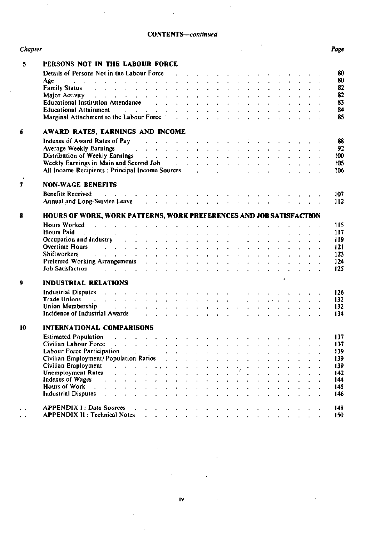## **CONTENTS—***continued*

 $\ddot{\phantom{a}}$ 

| Chapter       |                                                                                                                                                                                                                                                     |                              |                                      | Page |
|---------------|-----------------------------------------------------------------------------------------------------------------------------------------------------------------------------------------------------------------------------------------------------|------------------------------|--------------------------------------|------|
| $5^{\degree}$ | PERSONS NOT IN THE LABOUR FORCE                                                                                                                                                                                                                     |                              |                                      |      |
|               | Details of Persons Not in the Labour Force (e.g. and e.g. and e.g. and e.g. and e.g. and e.g. and e.g. and e.g. and e.g. and e.g. and e.g. and e.g. and e.g. and e.g. and e.g. and e.g. and e.g. and e.g. and e.g. and e.g. an                      |                              |                                      | 80   |
|               | فالقارب والقاربة القراط القراط القراط القراط القراط القراط القراط القراط القراط التراط التراط التراط<br>Age                                                                                                                                         |                              |                                      | 80   |
|               | Family Status and a contract of the contract of the contract of the contract of the contract of the contract of the contract of the contract of the contract of the contract of the contract of the contract of the contract o                      |                              |                                      | 82   |
|               | Major Activity and a contract that is a contract of the contract of the contract of the contract of the contract of the contract of the contract of the contract of the contract of the contract of the contract of the contra                      |                              |                                      | 82   |
|               | Educational Institution Attendance and a subset of the set of the set of the set of the set of the set of the set of the set of the set of the set of the set of the set of the set of the set of the set of the set of the se                      |                              |                                      | 83   |
|               |                                                                                                                                                                                                                                                     |                              |                                      | 84   |
|               | Educational Attainment<br>Marginal Attachment to the Labour Force<br>Contact According Labour Force<br>Contact According Labour Force<br>Contact According Labour Force<br>Contact According Labour Force<br>Contact According Labour Forc          |                              |                                      | 85   |
|               |                                                                                                                                                                                                                                                     |                              |                                      |      |
| 6             | AWARD RATES, EARNINGS AND INCOME                                                                                                                                                                                                                    |                              |                                      |      |
|               | Indexes of Award Rates of Pay and a subset of the contract to the contract of Pay and the contract of the contract of the contract of the contract of the contract of the contract of the contract of the contract of the cont                      |                              |                                      | 88   |
|               | Average Weekly Earnings and a contract that is a contract of the contract of the contract of the contract of the contract of the contract of the contract of the contract of the contract of the contract of the contract of t                      |                              |                                      | 92   |
|               | Distribution of Weekly Earnings and a contract of the contract of the contract of the Distribution of Weekly Earnings                                                                                                                               |                              |                                      | 100  |
|               |                                                                                                                                                                                                                                                     |                              |                                      | 105  |
|               | All Income Recipients: Principal Income Sources (a) and a set of the set of the set of the set of the set of the set of the set of the set of the set of the set of the set of the set of the set of the set of the set of the                      |                              |                                      | 106  |
| 7             | <b>NON-WAGE BENEFITS</b>                                                                                                                                                                                                                            |                              |                                      |      |
|               | والمواطن والوالد والمتاري والمالد المالد والمالد المالد المالد المالد المالد المالد المالد<br><b>Benefits Received</b>                                                                                                                              |                              |                                      | 107  |
|               | Annual and Long-Service Leave (Allen Allen Allen Allen Allen Allen Allen Allen Allen Allen Allen Allen Allen A                                                                                                                                      |                              |                                      | 112  |
| 8             | HOURS OF WORK, WORK PATTERNS, WORK PREFERENCES AND JOB SATISFACTION                                                                                                                                                                                 |                              |                                      |      |
|               | Hours Worked <b>Fig. 1. The Community of America</b> Community Community Community Community Community Community Community Community Community Community Community Community Community Community Community Community Community Comm                 |                              |                                      | 115  |
|               | <b>Hours Paid</b><br>and the contract of the contract of the contract of the contract of the contract of the contract of the contract of the contract of the contract of the contract of the contract of the contract of the contract of the contra |                              |                                      | 117  |
|               | Occupation and Industry and a subset of the subset of the set of the set of the set of the set of the set of the                                                                                                                                    |                              |                                      | 119  |
|               | Overtime Hours and a contract that is a contract of the contract of the contract of the contract of the contract of the contract of the contract of the contract of the contract of the contract of the contract of the contra                      |                              |                                      | 121  |
|               | Shiftworkers and a contract that the contract of the contract of the contract of the contract of the contract of the contract of the contract of the contract of the contract of the contract of the contract of the contract                       |                              |                                      | 123  |
|               | Preferred Working Arrangements and a subset of the contract of the contract of the contract of the contract of the contract of the contract of the contract of the contract of the contract of the contract of the contract of                      |                              |                                      | 124  |
|               | Job Satisfaction And All Allen Contact the Contact of the Contact of the Contact of the Contact of the Contact of the Contact of the Contact of the Contact of the Contact of the Contact of the Contact of the Contact of the                      |                              |                                      | 125  |
|               |                                                                                                                                                                                                                                                     |                              |                                      |      |
| 9             | <b>INDUSTRIAL RELATIONS</b>                                                                                                                                                                                                                         |                              |                                      |      |
|               | Industrial Disputes response to the contract of the contract of the contract of the contract of the contract of the contract of the contract of the contract of the contract of the contract of the contract of the contract o                      |                              |                                      | 126  |
|               | Trade Unions and the contract of the contract of the contract of the contract of the contract of the contract of the contract of the contract of the contract of the contract of the contract of the contract of the contract                       |                              |                                      | 132  |
|               | Union Membership and a contract that is a contract of the contract of the contract of the contract of the contract of the contract of the contract of the contract of the contract of the contract of the contract of the cont                      |                              |                                      | 132  |
|               | Incidence of Industrial Awards (e.g., e.g., e.g., e.g., e.g., e.g., e.g., e.g., e.g., e.g., e.g., e.g., e.g., e.g., e.g., e.g., e.g., e.g., e.g., e.g., e.g., e.g., e.g., e.g., e.g., e.g., e.g., e.g., e.g., e.g., e.g., e.g.                      |                              |                                      | 134  |
| 10            | <b>INTERNATIONAL COMPARISONS</b>                                                                                                                                                                                                                    |                              |                                      |      |
|               | <b>Estimated Population</b>                                                                                                                                                                                                                         |                              |                                      | 137  |
|               | Civilian Labour Force                                                                                                                                                                                                                               |                              |                                      | 137  |
|               | Labour Force Participation                                                                                                                                                                                                                          |                              |                                      | 139  |
|               | Civilian Employment/Population Ratios                                                                                                                                                                                                               |                              |                                      | 139  |
|               | Civilian Employment<br><b><i>Contract Contract Address</i></b>                                                                                                                                                                                      |                              |                                      | 139  |
|               | <b>Unemployment Rates</b><br>$\mathbf{r} = \mathbf{r} + \mathbf{r} + \mathbf{r}$                                                                                                                                                                    |                              |                                      | 142  |
|               | Indexes of Wages<br>$\mathbf{1}$ $\mathbf{1}$ $\mathbf{1}$ $\mathbf{1}$ $\mathbf{1}$                                                                                                                                                                |                              |                                      | 144  |
|               | Hours of Work                                                                                                                                                                                                                                       |                              |                                      | 145  |
|               | <b>Industrial Disputes</b>                                                                                                                                                                                                                          |                              |                                      | 146  |
|               |                                                                                                                                                                                                                                                     |                              |                                      |      |
|               | <b>APPENDIX 1: Data Sources</b>                                                                                                                                                                                                                     | and the contract of the con- | and the second control of the second | 148  |
|               | <b>APPENDIX II: Technical Notes</b>                                                                                                                                                                                                                 |                              |                                      | 150  |

**IV**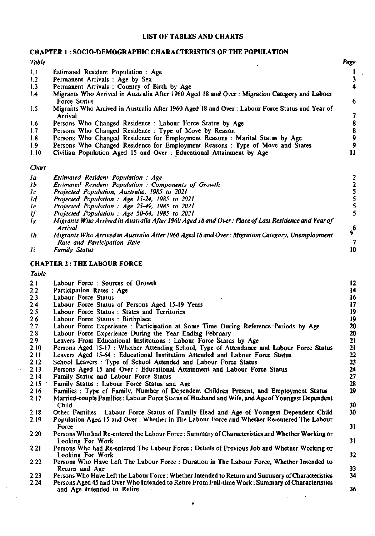## **LIST OF TABLES AND CHARTS**

## **CHAPTER 1: SOCIO-DEMOGRAPHIC CHARACTERISTICS OF THE POPULATION**

| <b>Table</b>    |                                                                                                                                                                                                       | Page                                       |
|-----------------|-------------------------------------------------------------------------------------------------------------------------------------------------------------------------------------------------------|--------------------------------------------|
| 1.1             | Estimated Resident Population: Age                                                                                                                                                                    | $\mathbf{1}$                               |
| 1.2             | Permanent Arrivals : Age by Sex                                                                                                                                                                       | 3                                          |
| 1.3             | Permanent Arrivals: Country of Birth by Age                                                                                                                                                           | 4                                          |
| 1.4             | Migrants Who Arrived in Australia After 1960 Aged 18 and Over: Migration Category and Labour                                                                                                          |                                            |
|                 | Force Status                                                                                                                                                                                          | 6                                          |
| 1.5             | Migrants Who Arrived in Australia After 1960 Aged 18 and Over : Labour Force Status and Year of                                                                                                       |                                            |
|                 | Arrival                                                                                                                                                                                               | 7                                          |
| 1.6             | Persons Who Changed Residence : Labour Force Status by Age                                                                                                                                            | $\begin{array}{c} 8 \\ 8 \\ 9 \end{array}$ |
| 1,7             | Persons Who Changed Residence: Type of Move by Reason                                                                                                                                                 |                                            |
| 1.8             | Persons Who Changed Residence for Employment Reasons : Marital Status by Age                                                                                                                          |                                            |
| 1.9             | Persons Who Changed Residence for Employment Reasons: Type of Move and States                                                                                                                         | $\boldsymbol{9}$                           |
| 1.10            | Civilian Population Aged 15 and Over : Educational Attainment by Age                                                                                                                                  | 11                                         |
| Chart           |                                                                                                                                                                                                       |                                            |
|                 |                                                                                                                                                                                                       |                                            |
| la              | Estimated Resident Population: Age                                                                                                                                                                    | 22555                                      |
| 1 <sub>b</sub>  | Estimated Resident Population : Components of Growth                                                                                                                                                  |                                            |
| 1 <sub>c</sub>  | Projected Population, Australia, 1985 to 2021                                                                                                                                                         |                                            |
| $\overline{1}d$ | Projected Population : Age 15-24, 1985 to 2021                                                                                                                                                        |                                            |
| le              | Projected Population : Age 25-49, 1985 to 2021                                                                                                                                                        |                                            |
| IJ              | Projected Population : Age 50-64, 1985 to 2021                                                                                                                                                        |                                            |
| lg              | Migrants Who Arrived in Australia After 1960 Aged 18 and Over: Place of Last Residence and Year of<br><b>Arrival</b>                                                                                  |                                            |
| 1h              | Migrants Who Arrived in Australia After 1960 Aged 18 and Over: Migration Category, Unemployment                                                                                                       | $\boldsymbol{\hat{z}}$                     |
|                 | Rate and Participation Rate                                                                                                                                                                           | 7                                          |
| 1i.             | <b>Family Status</b>                                                                                                                                                                                  | 10 <sup>°</sup>                            |
|                 |                                                                                                                                                                                                       |                                            |
|                 | <b>CHAPTER 2: THE LABOUR FORCE</b>                                                                                                                                                                    |                                            |
| <b>Table</b>    |                                                                                                                                                                                                       |                                            |
| 2.1             | Labour Force: Sources of Growth                                                                                                                                                                       | 12                                         |
| 2.2             | Participation Rates: Age                                                                                                                                                                              | 14                                         |
| 2.3             | Labour Force Status                                                                                                                                                                                   | 16                                         |
| 2.4             | Labour Force Status of Persons Aged 15-19 Years                                                                                                                                                       | 17                                         |
| 2.5             | Labour Force Status: States and Territories                                                                                                                                                           | 19                                         |
| 2.6             | Labour Force Status : Birthplace                                                                                                                                                                      | 19                                         |
| 2.7             | Labour Force Experience : Participation at Some Time During Reference-Periods by Age                                                                                                                  | 20                                         |
| 2.8             | Labour Force Experience During the Year Ending February                                                                                                                                               | 20                                         |
| 2.9             | Leavers From Educational Institutions : Labour Force Status by Age                                                                                                                                    | 21                                         |
| 2.10            | Persons Aged 15-17 : Whether Attending School, Type of Attendance and Labour Force Status                                                                                                             | 21                                         |
| 2.11            | Leavers Aged 15-64 : Educational Institution Attended and Labour Force Status                                                                                                                         | 22                                         |
| 2.12            | School Leavers: Type of School Attended and Labour Force Status                                                                                                                                       | 23                                         |
| 2.13            | Persons Aged 15 and Over: Educational Attainment and Labour Force Status                                                                                                                              | 24                                         |
| 2.14            | Family Status and Labour Force Status                                                                                                                                                                 | 27                                         |
| 2.15            | Family Status: Labour Force Status and Age                                                                                                                                                            | 28                                         |
| 2.16            | Families : Type of Family, Number of Dependent Children Present, and Employment Status                                                                                                                | 29                                         |
| 2.17            | Married-couple Families: Labour Force Status of Husband and Wife, and Age of Youngest Dependent                                                                                                       |                                            |
|                 | Child                                                                                                                                                                                                 | 30                                         |
| 2.18            | Other Families : Labour Force Status of Family Head and Age of Youngest Dependent Child                                                                                                               | 30                                         |
| 2.19            | Population Aged 15 and Over: Whether in The Labour Force and Whether Re-entered The Labour                                                                                                            |                                            |
|                 | Force                                                                                                                                                                                                 | 31                                         |
| 2.20            | Persons Who had Re-entered the Labour Force: Summary of Characteristics and Whether Working or                                                                                                        | e i                                        |
|                 | Looking For Work                                                                                                                                                                                      | 31                                         |
| 2.21            | Persons Who had Re-entered The Labour Force : Details of Previous Job and Whether Working or                                                                                                          |                                            |
|                 | Looking For Work                                                                                                                                                                                      | 32                                         |
| 2.22            | Persons Who Have Left The Labour Force: Duration in The Labour Force, Whether Intended to                                                                                                             |                                            |
|                 | Return and Age                                                                                                                                                                                        | 33                                         |
| 2.23<br>2.24    | Persons Who Have Left the Labour Force : Whether Intended to Return and Summary of Characteristics<br>Persons Aged 45 and Over Who Intended to Retire From Full-time Work: Summary of Characteristics | 34                                         |
|                 | and Age Intended to Retire                                                                                                                                                                            | 36                                         |
|                 |                                                                                                                                                                                                       |                                            |
|                 | v                                                                                                                                                                                                     |                                            |
|                 |                                                                                                                                                                                                       |                                            |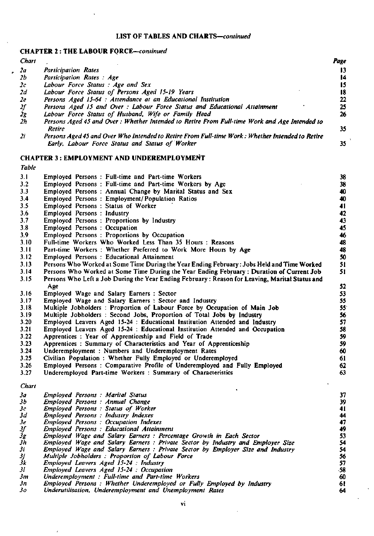## **CHAPTER 2 : THE LABOUR FORCE—***continued*

| <b>Chart</b>                       |                                                                                                  | Page |
|------------------------------------|--------------------------------------------------------------------------------------------------|------|
| 2a                                 | <b>Participation Rates</b>                                                                       |      |
| 2b                                 | Participation Rates: Age                                                                         | 14   |
| 2c                                 | Labour Force Status: Age and Sex                                                                 | 15   |
| 2d                                 | Labour Force Status of Persons Aged 15-19 Years                                                  | 18   |
| 2e                                 | Persons Aged 15-64 : Attendance at an Educational Institution                                    | 22   |
|                                    | Persons Aged 15 and Over : Labour Force Status and Educational Attainment                        | 25   |
| $\frac{2f}{2g}$<br>$\frac{2g}{2h}$ | Labour Force Status of Husband, Wife or Family Head                                              | 26   |
|                                    | Persons Aged 45 and Over: Whether Intended to Retire From Full-time Work and Age Intended to     |      |
|                                    | <b>Retire</b>                                                                                    | 35   |
| 2i                                 | Persons Aged 45 and Over Who Intended to Retire From Full-time Work : Whether Intended to Retire |      |

*Early, Labour Force Status and Status of Worker* 35

**CHAPTER 3 : EMPLOYMENT AND UNDEREMPLOYMENT** 

| <b>Table</b>    |                                                                                                                                     |                 |
|-----------------|-------------------------------------------------------------------------------------------------------------------------------------|-----------------|
| 3.1             | Employed Persons: Full-time and Part-time Workers                                                                                   | 38              |
| 3.2             | Employed Persons: Full-time and Part-time Workers by Age                                                                            | 38              |
| 3.3             | Employed Persons: Annual Change by Marital Status and Sex                                                                           | 40              |
| 3.4             | Employed Persons: Employment/Population Ratios                                                                                      | 40              |
| 3.5             | Employed Persons: Status of Worker                                                                                                  | 41              |
| 3.6             | Employed Persons: Industry                                                                                                          | 42              |
| 3.7             | Employed Persons: Proportions by Industry                                                                                           | 43              |
| 3.8             | Employed Persons: Occupation                                                                                                        | 45              |
| 3.9             | Employed Persons: Proportions by Occupation                                                                                         | 46              |
| 3.10            | Full-time Workers Who Worked Less Than 35 Hours: Reasons                                                                            | 48              |
| 3.11            | Part-time Workers: Whether Preferred to Work More Hours by Age                                                                      | 48              |
| 3.12            | Employed Persons: Educational Attainment                                                                                            | 50              |
| 3.13            | Persons Who Worked at Some Time During the Year Ending February: Jobs Held and Time Worked                                          | 51              |
| 3.14            | Persons Who Worked at Some Time During the Year Ending February: Duration of Current Job                                            | 51              |
| 3.15            | Persons Who Left a Job During the Year Ending February: Reason for Leaving, Marital Status and                                      |                 |
|                 | Age                                                                                                                                 | 52              |
| 3.16            | Employed Wage and Salary Earners: Sector                                                                                            | 53              |
| 3.17            | Employed Wage and Salary Earners: Sector and Industry                                                                               | 55              |
| 3.18            | Multiple Jobholders: Proportion of Labour Force by Occupation of Main Job                                                           | 55 <sub>1</sub> |
| 3.19            | Multiple Jobholders: Second Jobs, Proportion of Total Jobs by Industry                                                              | 56              |
| 3.20            | Employed Leavers Aged 15-24 : Educational Institution Attended and Industry                                                         | 57              |
| 3.21            | Employed Leavers Aged 15-24 : Educational Institution Attended and Occupation                                                       | 58              |
| 3.22            | Apprentices: Year of Apprenticeship and Field of Trade                                                                              | 59              |
| 3.23            | Apprentices: Summary of Characteristics and Year of Apprenticeship                                                                  | 59              |
| 3.24            | Underemployment: Numbers and Underemployment Rates                                                                                  | 60              |
| 3.25            | Civilian Population: Whether Fully Employed or Underemployed                                                                        | 61              |
| 3.26            | Employed Persons: Comparative Profile of Underemployed and Fully Employed                                                           | 62              |
| 3.27            | Underemployed Part-time Workers : Summary of Characteristics                                                                        | 63              |
|                 |                                                                                                                                     |                 |
| Chart           |                                                                                                                                     |                 |
| 3а              | <b>Employed Persons: Marital Status</b>                                                                                             | 37              |
| 3 <sub>b</sub>  | Employed Persons: Annual Change                                                                                                     | 39              |
| $\bm{3c}$       | Employed Persons: Status of Worker                                                                                                  | 41              |
| 3d              | <b>Employed Persons : Industry Indexes</b>                                                                                          | 44              |
| 3e              | <b>Employed Persons: Occupation Indexes</b>                                                                                         | 47              |
| IJ              | <b>Employed Persons: Educational Attainment</b>                                                                                     | 49              |
| $\dot{3}g$      | Employed Wage and Salary Earners : Percentage Growth in Each Sector                                                                 | 53              |
| 3h<br>3i        | Employed Wage and Salary Earners : Private Sector by Industry and Employer Size                                                     | 54<br>54        |
| Зј              | Employed Wage and Salary Earners : Private Sector by Employer Size and Industry<br>Multiple Jobholders : Proportion of Labour Force | 56              |
| Šк              | Employed Leavers Aged 15-24 : Industry                                                                                              | 57              |
| $\overline{31}$ | Employed Leavers Aged 15-24 : Occupation                                                                                            | -58             |
|                 |                                                                                                                                     |                 |

*31 Employed Leavers Aged 15-24 : Occupation* 

J

- *3m Underemployment : Full-time and Part-time Workers*
- *3n Employed Persons : Whether Underemployed or Fully Employed by Industry*
- *3o Underutilisation, Underemployment and Unemployment Rates*

60 61 64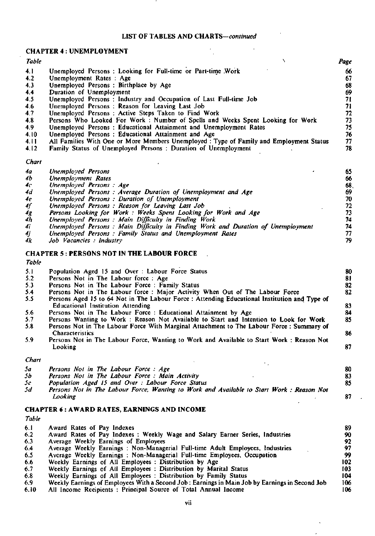$\bar{\mathbf{r}}$ 

J.

## **CHAPTER 4 : UNEMPLOYMENT**

| <b>Table</b> |                                                                                         | Page |
|--------------|-----------------------------------------------------------------------------------------|------|
| 4.1          | Unemployed Persons : Looking for Full-time or Part-time Work                            | 66   |
| 4.2          | Unemployment Rates: Age                                                                 | 67   |
| 4.3          | Unemployed Persons: Birthplace by Age                                                   | 68   |
| 4,4          | Duration of Unemployment                                                                | 69   |
| 4.5          | Unemployed Persons: Industry and Occupation of Last Full-time Job                       | 71   |
| 4.6          | Unemployed Persons: Reason for Leaving Last Job                                         |      |
| 4.7          | Unemployed Persons: Active Steps Taken to Find Work                                     | 72   |
| 4.8          | Persons Who Looked For Work: Number of Spells and Weeks Spent Looking for Work          | 73.  |
| 4.9          | Unemployed Persons: Educational Attainment and Unemployment Rates                       | 75   |
| 4.10         | Unemployed Persons: Educational Attainment and Age                                      | 76   |
| 4.11         | All Families With One or More Members Unemployed : Type of Family and Employment Status | 77   |
| 4.12         | Family Status of Unemployed Persons: Duration of Unemployment                           | 78.  |
| Chart        |                                                                                         |      |

| 4а | Unemployed Persons                                                               | 65  |
|----|----------------------------------------------------------------------------------|-----|
| 4b | Unemployment Rates                                                               | 66  |
| 4с | Unemployed Persons: Age                                                          | 68. |
| 4d | Unemployed Persons: Average Duration of Unemployment and Age                     | 69  |
| 4e | Unemployed Persons: Duration of Unemployment                                     | 70  |
| 4f | Unemployed Persons: Reason for Leaving Last Job                                  | 72. |
| 4g | Persons Looking for Work: Weeks Spent Looking for Work and Age                   |     |
| 4h | Unemployed Persons: Main Difficulty in Finding Work                              | 74  |
| 4i | Unemployed Persons: Main Difficulty in Finding Work and Duration of Unemployment | 74  |
| 4j | Unemployed Persons : Family Status and Unemployment Rates                        | 77. |
| 4k | Job Vacancies : Industry                                                         | 79. |

### **CHAPTER 5 : PERSONS NOT IN THE LABOUR FORCE**

*Table* 

| 5.1 | Population Aged 15 and Over: Labour Force Status                                              | 80 |
|-----|-----------------------------------------------------------------------------------------------|----|
| 5.2 | Persons Not in The Labour force: Age                                                          | 81 |
| 5.3 | Persons Not in The Labour Force: Family Status                                                | 82 |
| 5.4 | Persons Not in The Labour force : Major Activity When Out of The Labour Force                 | 82 |
| 5.5 | Persons Aged 15 to 64 Not in The Labour Force : Attending Educational Institution and Type of |    |
|     | <b>Educational Institution Attending</b>                                                      | 83 |
| 5.6 | Persons Not in The Labour Force: Educational Attainment by Age                                | 84 |
| 5.7 | Persons Wanting to Work: Reason Not Available to Start and Intention to Look for Work         | 85 |
| 5.8 | Persons Not in The Labour Force With Marginal Attachment to The Labour Force: Summary of      |    |
|     | <b>Characteristics</b>                                                                        | 86 |
| 5.9 | Persons Not in The Labour Force, Wanting to Work and Available to Start Work: Reason Not      |    |
|     | Looking                                                                                       | 87 |
|     |                                                                                               |    |

#### *Chart*

| Sа | Persons Not in The Labour Force: Age                                                     | 80 |
|----|------------------------------------------------------------------------------------------|----|
| 5h | Persons Not in The Labour Force: Main Activity                                           | 83 |
| 5c | Population Aged 15 and Over: Labour Force Status                                         | 85 |
| 5d | Persons Not in The Labour Force, Wanting to Work and Available to Start Work: Reason Not |    |
|    | Looking                                                                                  | 87 |

#### **CHAPTER 6 : AWARD RATES, EARNINGS AND INCOME**

| Table |                                                                                                |     |
|-------|------------------------------------------------------------------------------------------------|-----|
| 6.1   | Award Rates of Pay Indexes                                                                     | 89  |
| 6.2   | Award Rates of Pay Indexes: Weekly Wage and Salary Earner Series, Industries                   | 90  |
| 6.3   | Average Weekly Earnings of Employees                                                           | 92  |
| 6.4   | Average Weekly Earnings: Non-Managerial Full-time Adult Employees, Industries                  | 97  |
| 6.5   | Average Weekly Earnings: Non-Managerial Full-time Employees, Occupation                        | 99  |
| 6.6   | Weekly Earnings of All Employees : Distribution by Age                                         | 102 |
| 6.7   | Weekly Earnings of All Employees : Distribution by Marital Status                              | 103 |
| 6.8   | Weekly Earnings of All Employees: Distribution by Family Status                                | 104 |
| 6.9   | Weekly Earnings of Employees With a Second Job: Earnings in Main Job by Earnings in Second Job | 106 |
| 6.10  | All Income Recipients: Principal Source of Total Annual Income                                 | 106 |

vü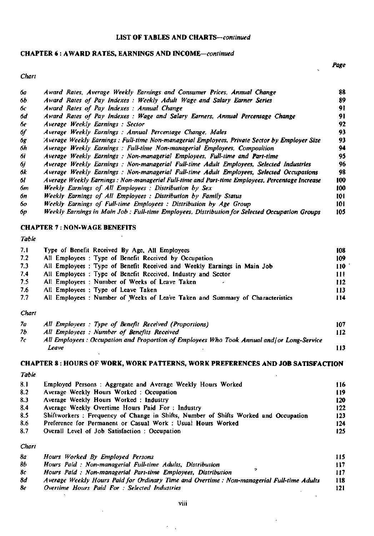## **CHAPTER 6 : AWARD RATES, EARNINGS AND INCOME—continued**

 $\mathbf{r}$ 

### *Chart*

| бa  | Award Rates, Average Weekly Earnings and Consumer Prices, Annual Change                        | 88  |
|-----|------------------------------------------------------------------------------------------------|-----|
| 6b  | Award Rates of Pay Indexes : Weekly Adult Wage and Salary Earner Series                        | 89  |
| 6с. | Award Rates of Pay Indexes: Annual Change                                                      | 91  |
| 6d  | Award Rates of Pay Indexes: Wage and Salary Earners, Annual Percentage Change                  | 91  |
| бe  | Average Weekly Earnings: Sector                                                                | 92  |
| бſ  | Average Weekly Earnings: Annual Percentage Change, Males                                       | 93  |
| бg  | Average Weekly Earnings : Full-time Non-managerial Employees, Private Sector by Employer Size  | 93  |
| 6h  | Average Weekly Earnings : Full-time Non-managerial Employees, Composition                      | 94  |
| бi  | Average Weekly Earnings: Non-managerial Employees, Full-time and Part-time                     | 95  |
| бj  | Average Weekly Earnings : Non-managerial Full-time Adult Employees, Selected Industries        | 96  |
| 6k  | Average Weekly Earnings: Non-managerial Full-time Adult Employees, Selected Occupations        | 98  |
| 61  | Average Weekly Earnings: Non-managerial Full-time and Part-time Employees, Percentage Increase | 100 |
| 6m  | Weekly Earnings of All Employees : Distribution by Sex                                         | 100 |
| 6n  | Weekly Earnings of All Employees : Distribution by Family Status                               | 101 |
| 60  | Weekly Earnings of Full-time Employees: Distribution by Age Group                              | 101 |
| бp  | Weekly Earnings in Main Job : Full-time Employees, Distribution for Selected Occupation Groups | 105 |

## **CHAPTER 7 : NON-WAGE BENEFITS**

|--|

| -7.1 | Type of Benefit Received By Age, All Employees                                | 108  |
|------|-------------------------------------------------------------------------------|------|
| 7.2  | All Employees: Type of Benefit Received by Occupation                         | 109  |
| 7.3  | All Employees : Type of Benefit Received and Weekly Earnings in Main Job      | 110  |
| 7.4  | All Employees: Type of Benefit Received, Industry and Sector                  | 11 L |
| 7.5  | All Employees: Number of Weeks of Leave Taken                                 | 112  |
| 7.6  | All Employees : Type of Leave Taken                                           | 113  |
| 7.7  | All Employees : Number of Weeks of Leave Taken and Summary of Characteristics | 114  |
|      |                                                                               |      |

#### *Chart*

| 7а | All Employees: Type of Benefit Received (Proportions)                                      | 107  |
|----|--------------------------------------------------------------------------------------------|------|
| 7b | All Employees: Number of Benefits Received                                                 | l 12 |
| 7c | All Employees : Occupation and Proportion of Employees Who Took Annual and/or Long-Service |      |
|    | Leave                                                                                      | 13   |

# **CHAPTER 8 : HOURS OF WORK, WORK PATTERNS, WORK PREFERENCES AND JOB SATISFACTION**

| Table |                                                                                     |     |
|-------|-------------------------------------------------------------------------------------|-----|
| 8.1   | Employed Persons: Aggregate and Average Weekly Hours Worked                         | 116 |
| 8.2   | Average Weekly Hours Worked: Occupation                                             | 119 |
| 8.3   | Average Weekly Hours Worked: Industry                                               | 120 |
| 8.4   | Average Weekly Overtime Hours Paid For : Industry                                   | 122 |
| 8.5   | Shiftworkers: Frequency of Change in Shifts, Number of Shifts Worked and Occupation | 123 |
| 8.6   | Preference for Permanent or Casual Work: Usual Hours Worked                         | 124 |
| 8.7   | Overall Level of Job Satisfaction: Occupation                                       | 125 |
| Chart |                                                                                     |     |

| 8а | Hours Worked By Employed Persons                                                           | 115 |
|----|--------------------------------------------------------------------------------------------|-----|
| 86 | Hours Paid: Non-managerial Full-time Adults, Distribution                                  | 117 |
| 8c | Hours Paid: Non-managerial Part-time Employees, Distribution                               | 117 |
| 8d | Average Weekly Hours Paid for Ordinary Time and Overtime : Non-managerial Full-time Adults | 118 |
| 8e | Overtime Hours Paid For : Selected Industries                                              | 121 |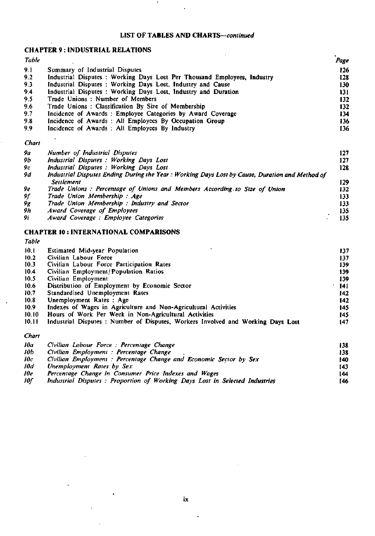$\bar{\lambda}$ 

## **CHAPTER 9 : INDUSTRIAL RELATIONS**

| <b>Table</b> |                                                                          | Page |
|--------------|--------------------------------------------------------------------------|------|
| 9.1          | Summary of Industrial Disputes                                           | 126  |
| 9.2          | Industrial Disputes : Working Days Lost Per Thousand Employees, Industry | 128  |
| 9.3          | Industrial Disputes: Working Days Lost, Industry and Cause               | 130  |
| 9.4          | Industrial Disputes: Working Days Lost, Industry and Duration            | 131  |
| 9.5          | Trade Unions: Number of Members                                          | 132  |
| 9.6          | Trade Unions: Classification By Size of Membership                       | 132  |
| 9.7          | Incidence of Awards: Employee Categories by Award Coverage               | 134  |
| 9.8          | Incidence of Awards: All Employees By Occupation Group                   | 136  |
| 9.9          | Incidence of Awards: All Employees By Industry                           | 136  |

## *Chart*

| 9a | Number of Industrial Disputes                                                                  | 127 |
|----|------------------------------------------------------------------------------------------------|-----|
| 9b | Industrial Disputes : Working Days Lost                                                        | 127 |
| 9с | Industrial Disputes : Working Days Lost                                                        | 128 |
| 9d | Industrial Disputes Ending During the Year: Working Days Lost by Cause, Duration and Method of |     |
|    | Settlement                                                                                     | 129 |
| 9е | Trade Unions : Percentage of Unions and Members According to Size of Union                     | 132 |
| 9f | Trade Union Membership: Age                                                                    | 133 |
| 9g | Trade Union Membership: Industry and Sector                                                    | 133 |
| 9h | Award Coverage of Employees                                                                    | 135 |
| 9i | Award Coverage: Employee Categories                                                            | 135 |
|    |                                                                                                |     |

### **CHAPTER 10 : INTERNATIONAL COMPARISONS**

|                                                                                  | 137                                                                                                                                                                                         |
|----------------------------------------------------------------------------------|---------------------------------------------------------------------------------------------------------------------------------------------------------------------------------------------|
| Civilian Labour Force                                                            | 137                                                                                                                                                                                         |
| Civilian Labour Force Participation Rates                                        | 139                                                                                                                                                                                         |
| Civilian Employment/Population Ratios                                            | 139                                                                                                                                                                                         |
| Civilian Employment                                                              | 139                                                                                                                                                                                         |
| Distribution of Employment by Economic Sector                                    | 141                                                                                                                                                                                         |
| Standardised Unemployment Rates                                                  | 142                                                                                                                                                                                         |
| Unemployment Rates: Age                                                          | 142                                                                                                                                                                                         |
| Indexes of Wages in Agriculture and Non-Agricultural Activities                  | 145                                                                                                                                                                                         |
| Hours of Work Per Week in Non-Agricultural Activities                            | 145                                                                                                                                                                                         |
| Industrial Disputes : Number of Disputes, Workers Involved and Working Days Lost | $-147$                                                                                                                                                                                      |
|                                                                                  |                                                                                                                                                                                             |
|                                                                                  | 138                                                                                                                                                                                         |
|                                                                                  | 138                                                                                                                                                                                         |
|                                                                                  | 140                                                                                                                                                                                         |
| Unemployment Rates by Sex                                                        | 143                                                                                                                                                                                         |
|                                                                                  | Estimated Mid-year Population<br>Civilian Labour Force : Percentage Change<br>Civilian Employment : Percentage Change<br>Civilian Employment : Percentage Change and Economic Sector by Sex |

- *We Percentage Change in Consumer Price Indexes and Wages* **144**
- *Wf Industrial Disputes : Proportion of Working Days Lost in Selected Industries* **146**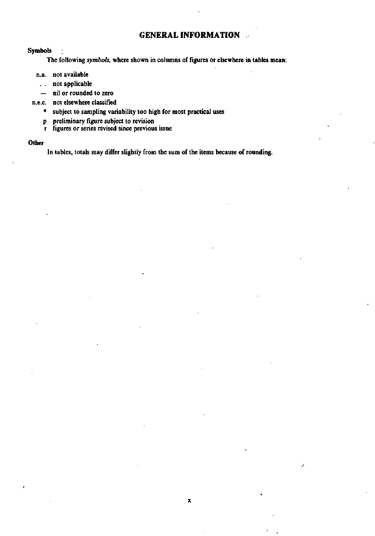# **GENERAL INFORMATION**

## **Symbols**

**The following** *symbols,* **where shown in columns of figures or elsewhere in tables mean:** 

- **n.a. not available** 
	- **. . not applicable**
	- **nil or rounded to zero**
- **n.e.c. not elsewhere classified** 
	- **\* subject to sampling variability too high for most practical uses**
	- **p preliminary figure subject to revision**
	- **r figures or series revised since previous issue**

#### **Other**

**In tables, totals may differ slightly from the sum of the items because of rounding.**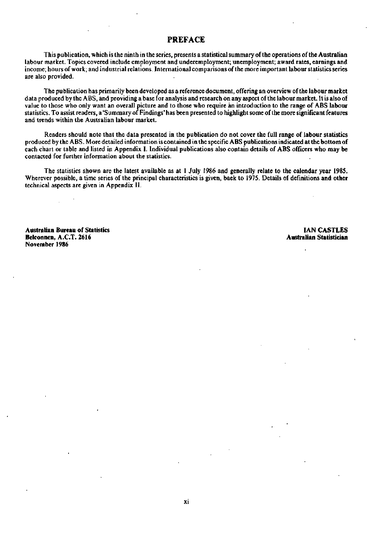## PREFACE

This publication, which is the ninth in the series, presents a statistical summary of the operations of the Australian labour market. Topics covered include employment and underemployment; unemployment; award rates, earnings and income; hours of work; and industrial relations. International comparisons of the more important labour statistics series are also provided.

The publication has primarily been developed as a reference document, offering an overview of the labour market data produced by the ABS, and providing a base for analysis and research on any aspect of the labour market. It is also of value to those who only want an overall picture and to those who require an introduction to the range of ABS labour statistics. To assist readers, a 'Summary of Findings' has been presented to highlight some of the more significant features and trends within the Australian labour market.

Readers should note that the data presented in the publication do not cover the full range of labour statistics produced by the ABS. More detailed information is contained in the specific ABS publications indicated at the bottom of each chart or table and listed in Appendix I. Individual publications also contain details of ABS officers who may be contacted for further information about the statistics.

The statistics shown are the latest available as at 1 July 1986 and generally relate to the calendar year 1985. Wherever possible, a time series of the principal characteristics is given, back to 1975. Details of definitions and other technical aspects are given in Appendix **II.** 

**Australian Bureau of Statistics IAN CASTLES Belconnen, A.C.T. 2616 November 1986**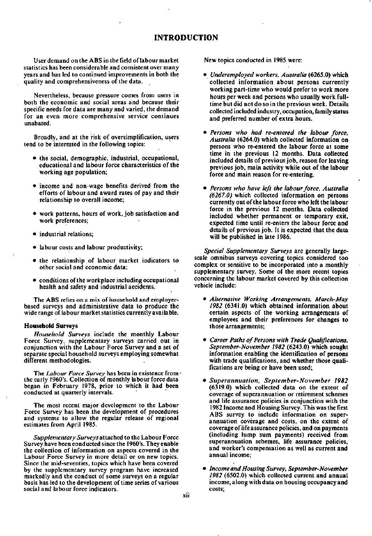## **INTRODUCTION**

User demand on the ABS in the field of labour market statistics has been considerable and consistent over many years and has led to continued improvements in both the quality and comprehensiveness of the data.

Nevertheless, because pressure comes from users in both the economic and social areas and because their specific needs for data are many and varied, the demand for an even more comprehensive service continues unabated.

Broadly, and at the risk of oversimplification, users tend to be interested in the following topics:

- the social, demographic, industrial, occupational, educational and labour force characteristics of the working age population;
- income and non-wage benefits derived from the efforts of labour and award rates of pay and their relationship to overall income;
- work patterns, hours of work, job satisfaction and work preferences;
- industrial relations;
- labour costs and labour productivity;
- the relationship of labour market indicators to other social and economic data;
- conditions of the workplace including occupational health and safety and industrial accidents.

The ABS relies on a mix of household and employerbased surveys and administrative data to produce the wide range of labour market statistics currently available.

#### **Household Surveys**

 $\mathbf{I}$ 

*Household Surveys* include the monthly Labour Force Survey, supplementary surveys carried out in conjunction with the Labour Force Survey and a set of separate special household surveys employing somewhat different methodologies.

The *Labour Force Survey* has been in existence from the early 1960's. Collection of monthly labour force data began in February 1978, prior to which it had been conducted at quarterly intervals.

The most recent major development to the Labour Force Survey has been the development of procedures and systems to allow the regular release of regional estimates from April 1985.

*Supplementary Surveys* attached to the Labour Force Survey have been conducted since the 1960's. They enable the collection of information on aspects covered in the Labour Force Survey in more detail or on new topics. Since the mid-seventies, topics which have been covered by the supplementary survey program have increased markedly and the conduct of some surveys on a regular basis has led to the development of time series of various social and labour force indicators.

New topics conducted in 1985 were:

- • *Underemployed workers, Australia* (6265.0) which collected information about persons currently working part-time who would prefer to work more hours per week and persons who usually work fulltime but did not do so in the previous week. Details collected included industry, occupation, family status and preferred number of extra hours.
- • *Persons who had re-entered the labour force, Australia* (6264.0) which collected information on persons who re-entered the labour force at some time in the previous 12 months. Data collected included details of previous job, reason for leaving previous job, main activity while out of the labour force and main reason for re-entering.
- • *Persons who have left the labour force, Australia (6267.0)* which collected information on persons currently out of the labour force who left the labour force in the previous 12 months. Data collected included whether permanent or temporary exit, expected time until re-enters the labour force and details of previous job. It is expected that the data will be published in late 1986.

*Special Supplementary Surveys* are generally largescale omnibus surveys covering topics considered too complex or sensitive to be incorporated into a monthly supplementary survey. Some of the more recent topics concerning the labour market covered by this collection vehicle include:

- • *Alternative Working Arrangements, March-May 1982* (6341.0) which obtained information about certain aspects of the working arrangements of employees and their preferences for changes to those arrangements;
- • *Career Paths of Persons with Trade Qualifications, September-November 1982* (6243.0) which sought information enabling the identification of persons with trade qualifications, and whether those qualifications are being or have been used;
- • *Superannuation, September-November 1982*  (6319.0) which collected data on the extent of coverage of superannuation or retirement schemes and life assurance policies in conjunction with the 1982 Income and Housing Survey. This was the first ABS survey to include information on superannuation coverage and costs, on the extent of coverage of life assurance policies, and on payments (including lump sum payments) received from superannuation schemes, life assurance policies, and worker's compensation as well as current and annual income;
- • *Income and Housing Survey, September-November 1982* (6502.0) which collected current and annual income, along with data on housing occupancy and costs;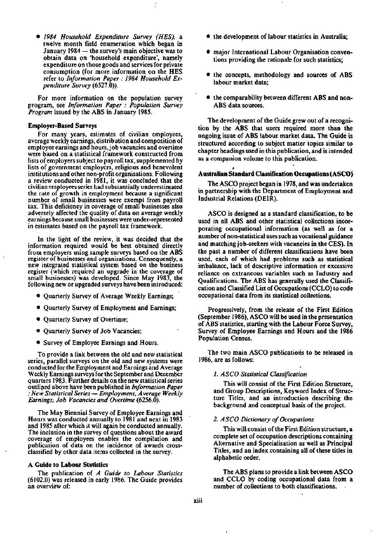• *1984 Household Expenditure Survey (HES),* a twelve month field enumeration which began in January 1984 — the survey's main objective was to obtain data on 'household expenditure', namely expenditure on those goods and services for private consumption (for more information on the HES refer to *Information Paper : 1984 Household Expenditure Survey* (6527.0)).

For more information on the population survey program, see *Information Paper : Population Survey Program* issued by the ABS in January 1985.

#### **Employer-Based Surveys**

For many years, estimates of civilian employees, average weekly earnings, distribution and composition of employee earnings and hours, job vacancies and overtime were based on a statistical framework constructed from lists of employers subject to payroll tax, supplemented by lists of government employers, religious and benevolent institutions and other non-profit organisations. Following a review conducted in 1981, it was concluded that the civilian employees series had substantially underestimated the rate of growth in employment because a significant number of small businesses were exempt from payroll tax. This deficiency in coverage of small businesses also adversely affected the quality of data on average weekly earnings because small businesses were under-represented in estimates based on the payroll tax framework.

In the light of the review, it was decided that the information required would be best obtained directly from employers using sample surveys based on the ABS register of businesses and organisations. Consequently, a new integrated statistical system based on the business register (which required an upgrade in the coverage of small businesses) was developed. Since May 1983, the following new or upgraded surveys have been introduced:

- © Quarterly Survey of Average Weekly Earnings;
- Quarterly Survey of Employment and Earnings;
- Quarterly Survey of Overtime;
- Quarterly Survey of Job Vacancies;
- Survey of Employee Earnings and Hours.

To provide a link between the old and new statistical series, parallel surveys on the old and new systems were conducted for the Employment and Earnings and Average Weekly Earnings surveys for the September and December quarters 1983. Further details on the new statistical series outlined above have been published in *Information Paper : New Statistical Series* — *Employment, Average Weekly Earnings; Job Vacancies and Overtime* (6256.0).

The May Biennial Survey of Employee Earnings and Hours was conducted annually to 1981 and next in 1983 and 1985 after which it will again be conducted annually. The inclusion in the survey of questions about the award coverage of employees enables the compilation and publication of data on the incidence of awards crossclassified by other data items collected in the survey.

#### **A Guide** to **Labour** Statistics

The publication of *A Guide to Labour Statistics*  (6102.0) was released in early 1986. The Guide provides an overview of:

- the development of labour statistics in Australia;
- major International Labour Organisation conventions providing the rationale for such statistics;
- the concepts, methodology and sources of ABS labour market data;
- the comparability between different ABS and non-ABS data sources.

The development of the Guide grew out of a recognition by the ABS that users required more than the ongoing issue of ABS labour market data. The Guide is structured according to subject matter topics similar to chapter headings used in this publication, and is intended as a companion volume to this publication.

#### \* **Australian Standard Classification Occupations (ASCO)**

The ASCO project began in 1978, and was undertaken in partnership with the Department of Employment and Industrial Relations (DEIR).

ASCO is designed as a standard classification, to be used in all ABS and other statistical collections incorporating occupational information (as well as for a number of non-statistical uses such as vocational guidance and matching job-seekers with vacancies in the CES). In the past a number of different classifications have been used, each of which had problems such as statistical imbalance, lack of descriptive information or excessive reliance on extraneous variables such as Industry and Qualifications. The ABS has generally used the Classification and Classified List of Occupations (CCLO) to code occupational data from its statistical collections.

Progressively, from the release of the First Edition (September 1986), ASCO will be used in the presentation of ABS statistics, starting with the Labour Force Survey, Survey of Employee Earnings and Hours and the 1986 Population Census.

The two main ASCO publications to be released in 1986, are as follows:

## *1. ASCO Statistical Classification*

This will consist of the First Edition Structure, and Group Descriptions, Keyword Index of Structure Titles, and an introduction describing the background and conceptual basis of the project.

#### *2. ASCO Dictionary of Occupations*

This will consist of the First Edition structure, a complete set of occupation descriptions containing Alternative and Specialisation as well as Principal Titles, and an index containing all of these titles in alphabetic order.

The ABS plans to provide a link between ASCO and CCLO by coding occupational data from a number of collections to both classifications.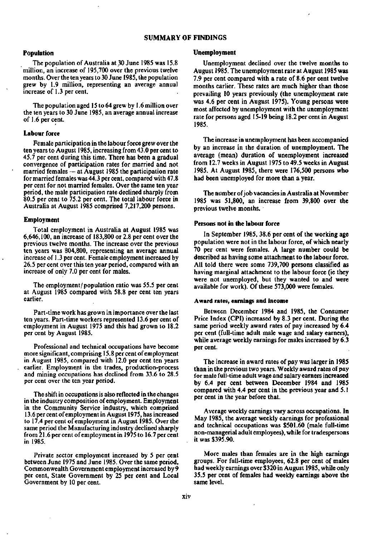#### SUMMARY OF FINDINGS

#### Population

The population of Australia at 30 June 1985 was 15.8 million, an increase of 195,700 over the previous twelve months. Over the ten years to 30 June 1985, the population grew by 1.9 million, representing an average annual increase of 1.3 per cent.

The population aged 15 to 64 grew by 1.6 million over the ten years to 30 June 1985, an average annual increase of 1.6 per cent.

#### Labour force

Female participation in the labour force grew over the ten years to August 1985, increasing from 43.0 per cent to 45.7 per cent during this time. There has been a gradual convergence of participation rates for married and not married females — at August 1985 the participation rate for married females was 44.3 per cent, compared with 47.8 per cent for not married females. Over the same ten year period, the male participation rate declined sharply from 80.5 per cent to 75.2 per cent. The total labour force in Australia at August 1985 comprised 7,217,200 persons.

#### Employment

Total employment in Australia at August 1985 was 6,646,100, an increase of 183,800 or 2.8 per cent over the previous twelve months. The increase over the previous ten years was 804,800, representing an average annual increase of 1.3 per cent. Female employment increased by 26.5 per cent over this ten year period, compared with an increase of only 7.0 per cent for males.

The employment/population ratio was 55.5 per cent at August 1985 compared with 58.8 per cent ten years earlier.

Part-time work has grown in importance over the last ten years. Part-time workers represented 13.6 per cent of employment in August 1975 and this had grown to 18.2 per cent by August 1985.

Professional and technical occupations have become more significant, comprising 15.8 per cent of employment in August 1985, compared with 12.0 per cent ten years earlier. Employment in the trades, production-process and mining occupations has declined from 33.6 to 28.5 per cent over the ten year period.

The shift in occupations is also reflected in the changes in the industry composition of employment. Employment in the Community Service industry, which comprised 13.6 per cent of employment in August 1975, has increased to 17.4 per cent of employment in August 1985. Over the same period the Manufacturing industry declined sharply from 21.6 per cent of employment in 1975 to 16.7 percent in 1985.

Private sector employment increased by 5 per cent between June 1975 and June 1985. Over the same period, Commonwealth Government employment increased by 9 per cent, State Government by 25 per cent and Local Government by 10 per cent.

#### Unemployment

Unemployment declined over the twelve months to August 1985. The unemployment rate at August 1985 was 7.9 per cent compared with a rate of 8.6 per cent twelve months earlier. These rates are much higher than those prevailing 10 years previously (the unemployment rate was 4.6 per cent in August 1975). Young persons were most affected by unemployment with the unemployment rate for persons aged 15-19 being 18.2 per cent in August 1985.

The increase in unemployment has been accompanied by an increase in the duration of unemployment. The average (mean) duration of unemployment increased from 12.7 weeks in August 1975 to 49.5 weeks in August 1985. At August 1985, there were 176,500 persons who had been unemployed for more than a year.

The number of job vacancies in Australia at November 1985 was 51,800, an increase from 39,800 over the previous twelve months.

#### Persons not in the labour force

In September 1985, 38.6 per cent of the working age population were not in the labour force, of which nearly 70 per cent were females. A large number could be described as having some attachment to the labour force. All told there were some 739,700 persons classified as having marginal attachment to the labour force (ie they were not unemployed, but they wanted to and were available for work). Of these 573,000 were females.

#### Award rates, earnings and income

Between December 1984 and 1985, the Consumer Price Index (CPI) increased by 8.3 per cent. During the same period weekly award rates of pay increased by 6.4 per cent (full-time adult male wage and salary earners), while average weekly earnings for males increased by 6.3 per cent.

The increase in award rates of pay was larger in 1985 than in the previous two years. Weekly award rates of pay for male full-time adult wage and salary earners increased by 6.4 per cent between December 1984 and 1985 compared with 4.4 per cent in the previous year and 5.1 per cent in the year before that.

Average weekly earnings vary across occupations. In May 1985, the average weekly earnings for professional and technical occupations was \$501.60 (male full-time non-managerial adult employees), while for tradespersons it was \$395.90.

More males than females are in the high earnings groups. For full-time employees, 62.8 per cent of males had weekly earnings over \$320 in August 1985, while only 35.5 per cent of females had weekly earnings above the same level.